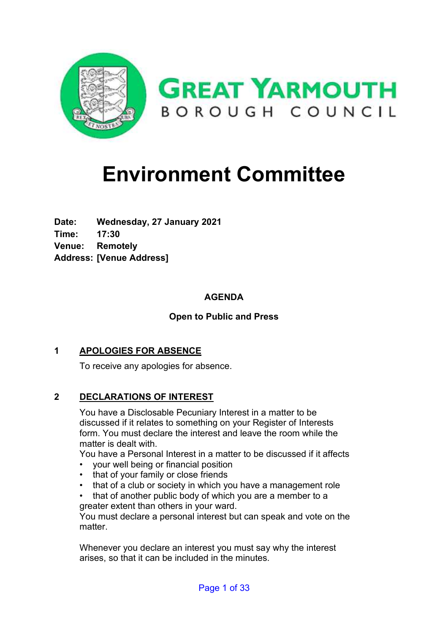

## **Environment Committee**

**Date: Wednesday, 27 January 2021 Time: 17:30 Venue: Remotely Address: [Venue Address]**

## **AGENDA**

## **Open to Public and Press**

## **1 APOLOGIES FOR ABSENCE**

To receive any apologies for absence.

## **2 DECLARATIONS OF INTEREST**

You have a Disclosable Pecuniary Interest in a matter to be discussed if it relates to something on your Register of Interests form. You must declare the interest and leave the room while the matter is dealt with.

You have a Personal Interest in a matter to be discussed if it affects

- your well being or financial position
- that of your family or close friends
- that of a club or society in which you have a management role
- that of another public body of which you are a member to a greater extent than others in your ward.

You must declare a personal interest but can speak and vote on the matter.

Whenever you declare an interest you must say why the interest arises, so that it can be included in the minutes.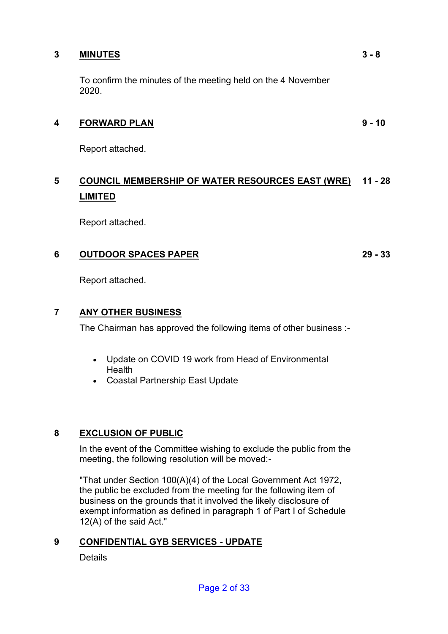## **3 MINUTES**

To confirm the minutes of the meeting held on the 4 November 2020.

## **4 FORWARD PLAN**

Report attached.

## **5 COUNCIL MEMBERSHIP OF WATER RESOURCES EAST (WRE) 11 - 28 LIMITED**

Report attached.

## **6 OUTDOOR SPACES PAPER**

**29 - 33**

Report attached.

## **7 ANY OTHER BUSINESS**

The Chairman has approved the following items of other business :-

- Update on COVID 19 work from Head of Environmental **Health**
- Coastal Partnership East Update

## **8 EXCLUSION OF PUBLIC**

In the event of the Committee wishing to exclude the public from the meeting, the following resolution will be moved:-

"That under Section 100(A)(4) of the Local Government Act 1972, the public be excluded from the meeting for the following item of business on the grounds that it involved the likely disclosure of exempt information as defined in paragraph 1 of Part I of Schedule 12(A) of the said Act."

## **9 CONFIDENTIAL GYB SERVICES - UPDATE**

**Details** 

**9 - 10**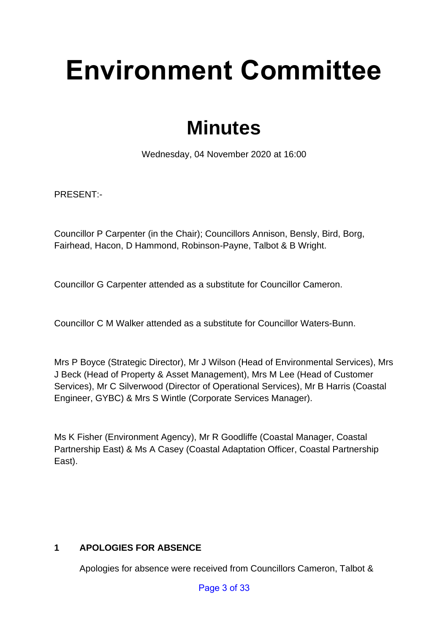# **Environment Committee**

## **Minutes**

Wednesday, 04 November 2020 at 16:00

PRESENT:-

Councillor P Carpenter (in the Chair); Councillors Annison, Bensly, Bird, Borg, Fairhead, Hacon, D Hammond, Robinson-Payne, Talbot & B Wright.

Councillor G Carpenter attended as a substitute for Councillor Cameron.

Councillor C M Walker attended as a substitute for Councillor Waters-Bunn.

Mrs P Boyce (Strategic Director), Mr J Wilson (Head of Environmental Services), Mrs J Beck (Head of Property & Asset Management), Mrs M Lee (Head of Customer Services), Mr C Silverwood (Director of Operational Services), Mr B Harris (Coastal Engineer, GYBC) & Mrs S Wintle (Corporate Services Manager).

Ms K Fisher (Environment Agency), Mr R Goodliffe (Coastal Manager, Coastal Partnership East) & Ms A Casey (Coastal Adaptation Officer, Coastal Partnership East).

## **1 APOLOGIES FOR ABSENCE**

Apologies for absence were received from Councillors Cameron, Talbot &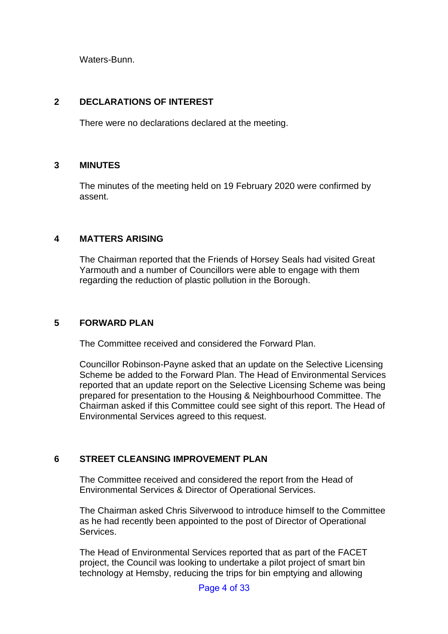Waters-Bunn.

## **2 DECLARATIONS OF INTEREST**

There were no declarations declared at the meeting.

## **3 MINUTES** 3

The minutes of the meeting held on 19 February 2020 were confirmed by assent.

## **4 MATTERS ARISING** 4

The Chairman reported that the Friends of Horsey Seals had visited Great Yarmouth and a number of Councillors were able to engage with them regarding the reduction of plastic pollution in the Borough.

## **5 FORWARD PLAN** 5

The Committee received and considered the Forward Plan.

Councillor Robinson-Payne asked that an update on the Selective Licensing Scheme be added to the Forward Plan. The Head of Environmental Services reported that an update report on the Selective Licensing Scheme was being prepared for presentation to the Housing & Neighbourhood Committee. The Chairman asked if this Committee could see sight of this report. The Head of Environmental Services agreed to this request.

## **6** STREET CLEANSING IMPROVEMENT PLAN

The Committee received and considered the report from the Head of Environmental Services & Director of Operational Services.

The Chairman asked Chris Silverwood to introduce himself to the Committee as he had recently been appointed to the post of Director of Operational Services.

The Head of Environmental Services reported that as part of the FACET project, the Council was looking to undertake a pilot project of smart bin technology at Hemsby, reducing the trips for bin emptying and allowing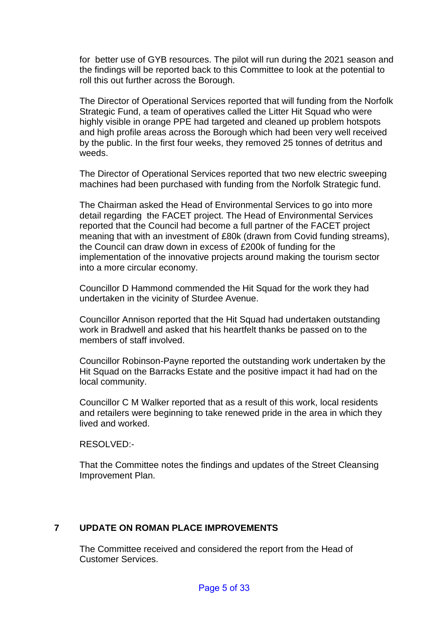for better use of GYB resources. The pilot will run during the 2021 season and the findings will be reported back to this Committee to look at the potential to roll this out further across the Borough.

The Director of Operational Services reported that will funding from the Norfolk Strategic Fund, a team of operatives called the Litter Hit Squad who were highly visible in orange PPE had targeted and cleaned up problem hotspots and high profile areas across the Borough which had been very well received by the public. In the first four weeks, they removed 25 tonnes of detritus and weeds.

The Director of Operational Services reported that two new electric sweeping machines had been purchased with funding from the Norfolk Strategic fund.

The Chairman asked the Head of Environmental Services to go into more detail regarding the FACET project. The Head of Environmental Services reported that the Council had become a full partner of the FACET project meaning that with an investment of £80k (drawn from Covid funding streams), the Council can draw down in excess of £200k of funding for the implementation of the innovative projects around making the tourism sector into a more circular economy.

Councillor D Hammond commended the Hit Squad for the work they had undertaken in the vicinity of Sturdee Avenue.

Councillor Annison reported that the Hit Squad had undertaken outstanding work in Bradwell and asked that his heartfelt thanks be passed on to the members of staff involved.

Councillor Robinson-Payne reported the outstanding work undertaken by the Hit Squad on the Barracks Estate and the positive impact it had had on the local community.

Councillor C M Walker reported that as a result of this work, local residents and retailers were beginning to take renewed pride in the area in which they lived and worked.

RESOLVED:-

That the Committee notes the findings and updates of the Street Cleansing Improvement Plan.

## **7 UPDATE ON ROMAN PLACE IMPROVEMENTS** 7

The Committee received and considered the report from the Head of Customer Services.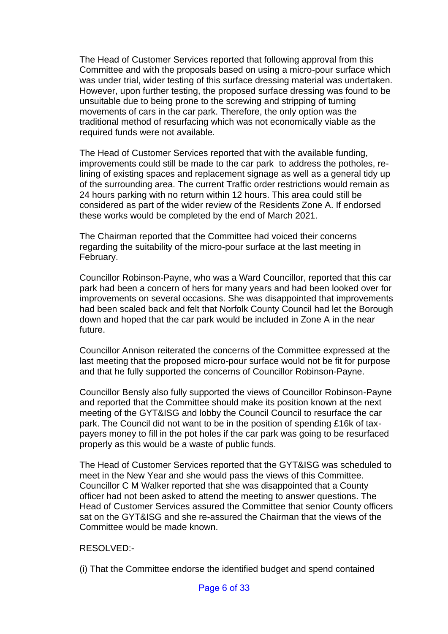The Head of Customer Services reported that following approval from this Committee and with the proposals based on using a micro-pour surface which was under trial, wider testing of this surface dressing material was undertaken. However, upon further testing, the proposed surface dressing was found to be unsuitable due to being prone to the screwing and stripping of turning movements of cars in the car park. Therefore, the only option was the traditional method of resurfacing which was not economically viable as the required funds were not available.

The Head of Customer Services reported that with the available funding, improvements could still be made to the car park to address the potholes, relining of existing spaces and replacement signage as well as a general tidy up of the surrounding area. The current Traffic order restrictions would remain as 24 hours parking with no return within 12 hours. This area could still be considered as part of the wider review of the Residents Zone A. If endorsed these works would be completed by the end of March 2021.

The Chairman reported that the Committee had voiced their concerns regarding the suitability of the micro-pour surface at the last meeting in February.

Councillor Robinson-Payne, who was a Ward Councillor, reported that this car park had been a concern of hers for many years and had been looked over for improvements on several occasions. She was disappointed that improvements had been scaled back and felt that Norfolk County Council had let the Borough down and hoped that the car park would be included in Zone A in the near future.

Councillor Annison reiterated the concerns of the Committee expressed at the last meeting that the proposed micro-pour surface would not be fit for purpose and that he fully supported the concerns of Councillor Robinson-Payne.

Councillor Bensly also fully supported the views of Councillor Robinson-Payne and reported that the Committee should make its position known at the next meeting of the GYT&ISG and lobby the Council Council to resurface the car park. The Council did not want to be in the position of spending £16k of taxpayers money to fill in the pot holes if the car park was going to be resurfaced properly as this would be a waste of public funds.

The Head of Customer Services reported that the GYT&ISG was scheduled to meet in the New Year and she would pass the views of this Committee. Councillor C M Walker reported that she was disappointed that a County officer had not been asked to attend the meeting to answer questions. The Head of Customer Services assured the Committee that senior County officers sat on the GYT&ISG and she re-assured the Chairman that the views of the Committee would be made known.

#### RESOLVED:-

(i) That the Committee endorse the identified budget and spend contained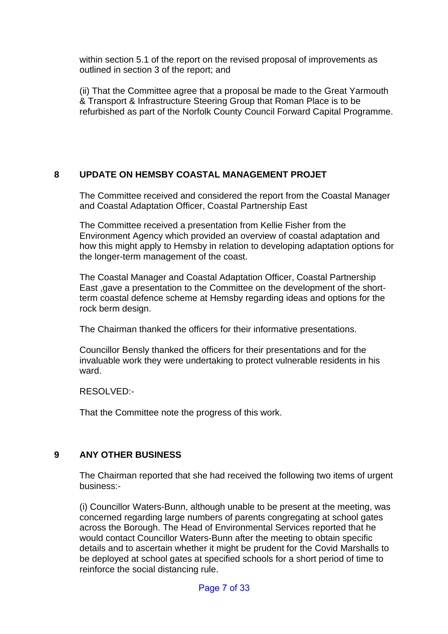within section 5.1 of the report on the revised proposal of improvements as outlined in section 3 of the report; and

(ii) That the Committee agree that a proposal be made to the Great Yarmouth & Transport & Infrastructure Steering Group that Roman Place is to be refurbished as part of the Norfolk County Council Forward Capital Programme.

## **8 UPDATE ON HEMSBY COASTAL MANAGEMENT PROJET** 8

The Committee received and considered the report from the Coastal Manager and Coastal Adaptation Officer, Coastal Partnership East

The Committee received a presentation from Kellie Fisher from the Environment Agency which provided an overview of coastal adaptation and how this might apply to Hemsby in relation to developing adaptation options for the longer-term management of the coast.

The Coastal Manager and Coastal Adaptation Officer, Coastal Partnership East ,gave a presentation to the Committee on the development of the shortterm coastal defence scheme at Hemsby regarding ideas and options for the rock berm design.

The Chairman thanked the officers for their informative presentations.

Councillor Bensly thanked the officers for their presentations and for the invaluable work they were undertaking to protect vulnerable residents in his ward.

## RESOLVED:-

That the Committee note the progress of this work.

## **9 ANY OTHER BUSINESS** 9

The Chairman reported that she had received the following two items of urgent business:-

(i) Councillor Waters-Bunn, although unable to be present at the meeting, was concerned regarding large numbers of parents congregating at school gates across the Borough. The Head of Environmental Services reported that he would contact Councillor Waters-Bunn after the meeting to obtain specific details and to ascertain whether it might be prudent for the Covid Marshalls to be deployed at school gates at specified schools for a short period of time to reinforce the social distancing rule.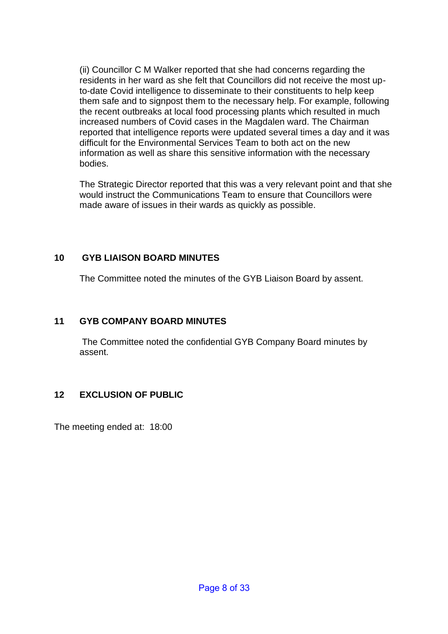(ii) Councillor C M Walker reported that she had concerns regarding the residents in her ward as she felt that Councillors did not receive the most upto-date Covid intelligence to disseminate to their constituents to help keep them safe and to signpost them to the necessary help. For example, following the recent outbreaks at local food processing plants which resulted in much increased numbers of Covid cases in the Magdalen ward. The Chairman reported that intelligence reports were updated several times a day and it was difficult for the Environmental Services Team to both act on the new information as well as share this sensitive information with the necessary bodies.

The Strategic Director reported that this was a very relevant point and that she would instruct the Communications Team to ensure that Councillors were made aware of issues in their wards as quickly as possible.

## **10 GYB LIAISON BOARD MINUTES**

The Committee noted the minutes of the GYB Liaison Board by assent.

## **11 GYB COMPANY BOARD MINUTES**

The Committee noted the confidential GYB Company Board minutes by assent.

## **12 EXCLUSION OF PUBLIC**

The meeting ended at: 18:00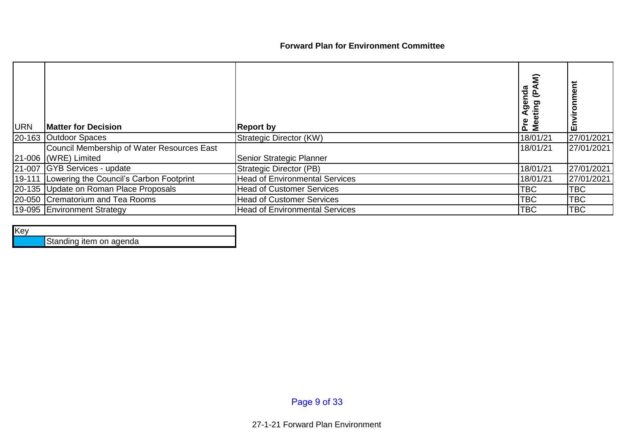## **Forward Plan for Environment Committee**

| <b>URN</b> | <b>Matter for Decision</b>                     | <b>Report by</b>                      | Agenda<br>$\overline{\mathbf{r}}$<br>ರಾ<br>Pre<br>Θĕ | ш          |
|------------|------------------------------------------------|---------------------------------------|------------------------------------------------------|------------|
|            | 20-163 Outdoor Spaces                          | Strategic Director (KW)               | 18/01/21                                             | 27/01/2021 |
|            | Council Membership of Water Resources East     |                                       | 18/01/21                                             | 27/01/2021 |
|            | 21-006 (WRE) Limited                           | Senior Strategic Planner              |                                                      |            |
|            | 21-007 GYB Services - update                   | Strategic Director (PB)               | 18/01/21                                             | 27/01/2021 |
|            | 19-111 Lowering the Council's Carbon Footprint | <b>Head of Environmental Services</b> | 18/01/21                                             | 27/01/2021 |
|            | 20-135 Update on Roman Place Proposals         | <b>Head of Customer Services</b>      | <b>TBC</b>                                           | <b>TBC</b> |
|            | 20-050 Crematorium and Tea Rooms               | <b>Head of Customer Services</b>      | <b>TBC</b>                                           | <b>TBC</b> |
|            | 19-095 Environment Strategy                    | <b>Head of Environmental Services</b> | <b>TBC</b>                                           | <b>TBC</b> |

### Key

Standing item on agenda

Page 9 of 33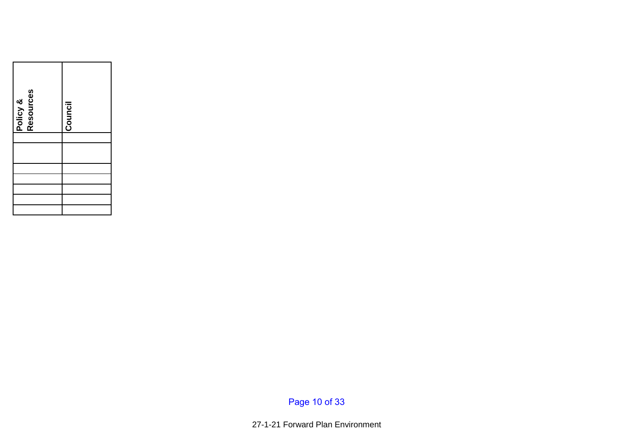| Policy &<br>Resources | Council |
|-----------------------|---------|
|                       |         |
|                       |         |
|                       |         |
|                       |         |
|                       |         |

Page 10 of 33

27-1-21 Forward Plan Environment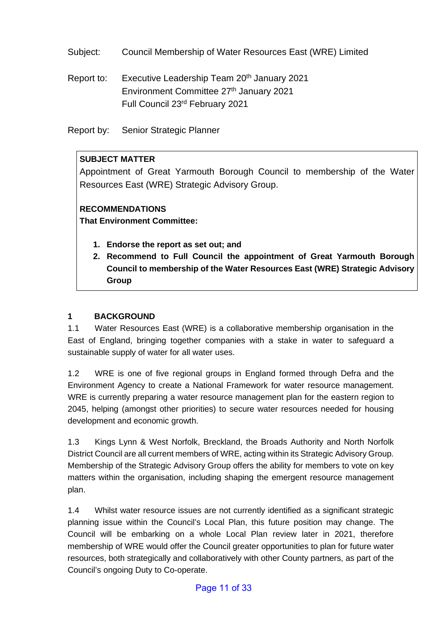Subject: Council Membership of Water Resources East (WRE) Limited

Report to: Executive Leadership Team 20<sup>th</sup> January 2021 Environment Committee 27<sup>th</sup> January 2021 Full Council 23rd February 2021

Report by: Senior Strategic Planner

## **SUBJECT MATTER**

Appointment of Great Yarmouth Borough Council to membership of the Water Resources East (WRE) Strategic Advisory Group.

## **RECOMMENDATIONS**

**That Environment Committee:**

- **1. Endorse the report as set out; and**
- **2. Recommend to Full Council the appointment of Great Yarmouth Borough Council to membership of the Water Resources East (WRE) Strategic Advisory Group**

## **1 BACKGROUND**

1.1 Water Resources East (WRE) is a collaborative membership organisation in the East of England, bringing together companies with a stake in water to safeguard a sustainable supply of water for all water uses.

1.2 WRE is one of five regional groups in England formed through Defra and the Environment Agency to create a National Framework for water resource management. WRE is currently preparing a water resource management plan for the eastern region to 2045, helping (amongst other priorities) to secure water resources needed for housing development and economic growth.

1.3 Kings Lynn & West Norfolk, Breckland, the Broads Authority and North Norfolk District Council are all current members of WRE, acting within its Strategic Advisory Group. Membership of the Strategic Advisory Group offers the ability for members to vote on key matters within the organisation, including shaping the emergent resource management plan.

1.4 Whilst water resource issues are not currently identified as a significant strategic planning issue within the Council's Local Plan, this future position may change. The Council will be embarking on a whole Local Plan review later in 2021, therefore membership of WRE would offer the Council greater opportunities to plan for future water resources, both strategically and collaboratively with other County partners, as part of the Council's ongoing Duty to Co-operate.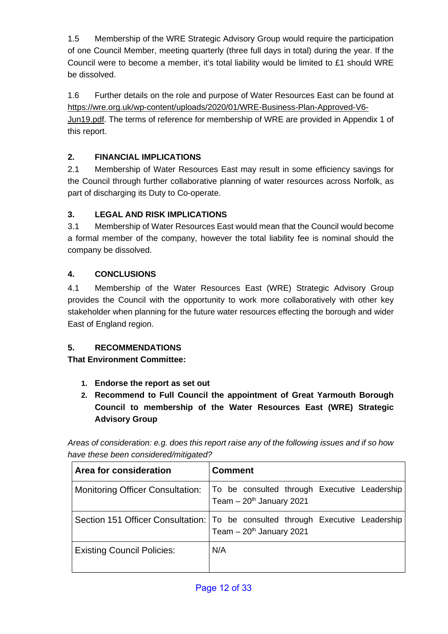1.5 Membership of the WRE Strategic Advisory Group would require the participation of one Council Member, meeting quarterly (three full days in total) during the year. If the Council were to become a member, it's total liability would be limited to £1 should WRE be dissolved.

1.6 Further details on the role and purpose of Water Resources East can be found at [https://wre.org.uk/wp-content/uploads/2020/01/WRE-Business-Plan-Approved-V6-](https://wre.org.uk/wp-content/uploads/2020/01/WRE-Business-Plan-Approved-V6-Jun19.pdf) [Jun19.pdf.](https://wre.org.uk/wp-content/uploads/2020/01/WRE-Business-Plan-Approved-V6-Jun19.pdf) The terms of reference for membership of WRE are provided in Appendix 1 of this report.

## **2. FINANCIAL IMPLICATIONS**

2.1 Membership of Water Resources East may result in some efficiency savings for the Council through further collaborative planning of water resources across Norfolk, as part of discharging its Duty to Co-operate.

## **3. LEGAL AND RISK IMPLICATIONS**

3.1 Membership of Water Resources East would mean that the Council would become a formal member of the company, however the total liability fee is nominal should the company be dissolved.

## **4. CONCLUSIONS**

4.1 Membership of the Water Resources East (WRE) Strategic Advisory Group provides the Council with the opportunity to work more collaboratively with other key stakeholder when planning for the future water resources effecting the borough and wider East of England region.

## **5. RECOMMENDATIONS**

**That Environment Committee:**

- **1. Endorse the report as set out**
- **2. Recommend to Full Council the appointment of Great Yarmouth Borough Council to membership of the Water Resources East (WRE) Strategic Advisory Group**

*Areas of consideration: e.g. does this report raise any of the following issues and if so how have these been considered/mitigated?*

| Area for consideration                  | <b>Comment</b>                                                                                                            |  |  |  |
|-----------------------------------------|---------------------------------------------------------------------------------------------------------------------------|--|--|--|
| <b>Monitoring Officer Consultation:</b> | To be consulted through Executive Leadership<br>Team $-20th$ January 2021                                                 |  |  |  |
|                                         | Section 151 Officer Consultation:   To be consulted through Executive Leadership<br>Team $-20$ <sup>th</sup> January 2021 |  |  |  |
| <b>Existing Council Policies:</b>       | N/A                                                                                                                       |  |  |  |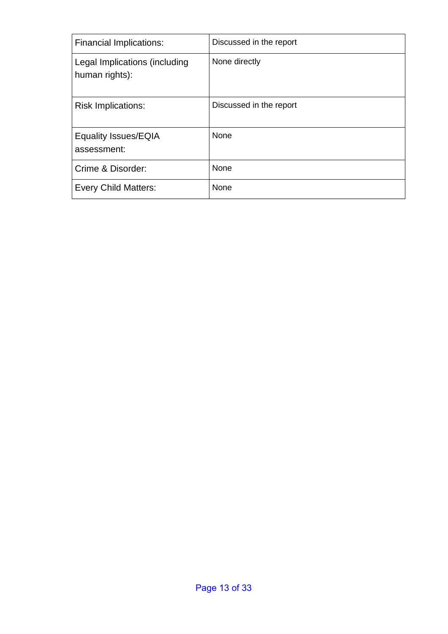| <b>Financial Implications:</b>                  | Discussed in the report |
|-------------------------------------------------|-------------------------|
| Legal Implications (including<br>human rights): | None directly           |
| <b>Risk Implications:</b>                       | Discussed in the report |
| <b>Equality Issues/EQIA</b><br>assessment:      | None                    |
| Crime & Disorder:                               | None                    |
| <b>Every Child Matters:</b>                     | None                    |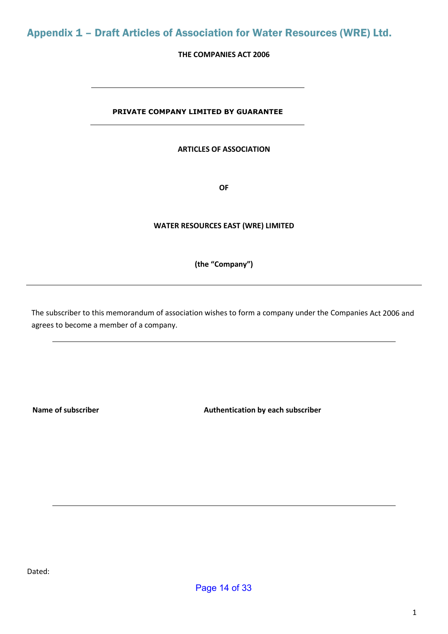## Appendix 1 – Draft Articles of Association for Water Resources (WRE) Ltd.

#### **THE COMPANIES ACT 2006**

#### **PRIVATE COMPANY LIMITED BY GUARANTEE**

#### **ARTICLES OF ASSOCIATION**

**OF**

#### **WATER RESOURCES EAST (WRE) LIMITED**

#### **(the "Company")**

The subscriber to this memorandum of association wishes to form a company under the Companies Act 2006 and agrees to become a member of a company.

Name of subscriber **Authentication by each subscriber** Authentication by each subscriber

Dated: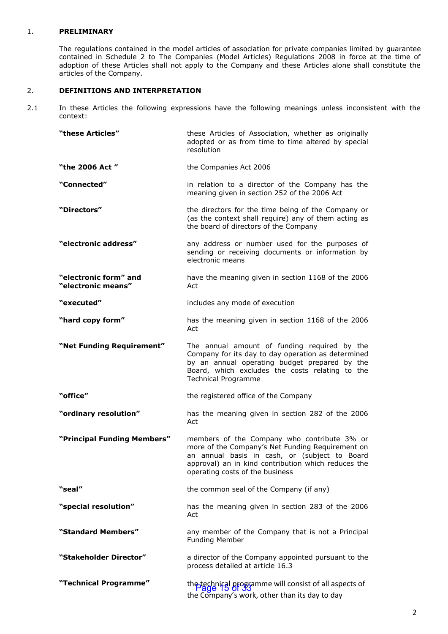#### 1. **PRELIMINARY**

The regulations contained in the model articles of association for private companies limited by guarantee contained in Schedule 2 to The Companies (Model Articles) Regulations 2008 in force at the time of adoption of these Articles shall not apply to the Company and these Articles alone shall constitute the articles of the Company.

#### 2. **DEFINITIONS AND INTERPRETATION**

2.1 In these Articles the following expressions have the following meanings unless inconsistent with the context:

| "these Articles"                            | these Articles of Association, whether as originally<br>adopted or as from time to time altered by special<br>resolution                                                                                                                   |  |
|---------------------------------------------|--------------------------------------------------------------------------------------------------------------------------------------------------------------------------------------------------------------------------------------------|--|
| "the 2006 Act"                              | the Companies Act 2006                                                                                                                                                                                                                     |  |
| "Connected"                                 | in relation to a director of the Company has the<br>meaning given in section 252 of the 2006 Act                                                                                                                                           |  |
| "Directors"                                 | the directors for the time being of the Company or<br>(as the context shall require) any of them acting as<br>the board of directors of the Company                                                                                        |  |
| "electronic address"                        | any address or number used for the purposes of<br>sending or receiving documents or information by<br>electronic means                                                                                                                     |  |
| "electronic form" and<br>"electronic means" | have the meaning given in section 1168 of the 2006<br>Act                                                                                                                                                                                  |  |
| "executed"                                  | includes any mode of execution                                                                                                                                                                                                             |  |
| "hard copy form"                            | has the meaning given in section 1168 of the 2006<br>Act                                                                                                                                                                                   |  |
| "Net Funding Requirement"                   | The annual amount of funding required by the<br>Company for its day to day operation as determined<br>by an annual operating budget prepared by the<br>Board, which excludes the costs relating to the<br><b>Technical Programme</b>       |  |
| "office"                                    | the registered office of the Company                                                                                                                                                                                                       |  |
| "ordinary resolution"                       | has the meaning given in section 282 of the 2006<br>Act                                                                                                                                                                                    |  |
| "Principal Funding Members"                 | members of the Company who contribute 3% or<br>more of the Company's Net Funding Requirement on<br>an annual basis in cash, or (subject to Board<br>approval) an in kind contribution which reduces the<br>operating costs of the business |  |
| "seal"                                      | the common seal of the Company (if any)                                                                                                                                                                                                    |  |
| "special resolution"                        | has the meaning given in section 283 of the 2006<br>Act                                                                                                                                                                                    |  |
| "Standard Members"                          | any member of the Company that is not a Principal<br><b>Funding Member</b>                                                                                                                                                                 |  |
| "Stakeholder Director"                      | a director of the Company appointed pursuant to the<br>process detailed at article 16.3                                                                                                                                                    |  |
| "Technical Programme"                       | the technical programme will consist of all aspects of<br>the Company's work, other than its day to day                                                                                                                                    |  |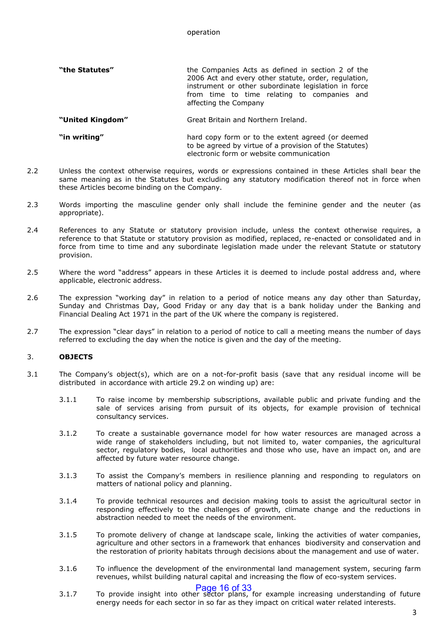#### operation

| "the Statutes" | the Companies Acts as defined in section 2 of the<br>2006 Act and every other statute, order, regulation,<br>instrument or other subordinate legislation in force |
|----------------|-------------------------------------------------------------------------------------------------------------------------------------------------------------------|
|                | from time to time relating to companies and<br>affecting the Company                                                                                              |

**"United Kingdom"** Great Britain and Northern Ireland.

**"in writing"** hard copy form or to the extent agreed (or deemed to be agreed by virtue of a provision of the Statutes) electronic form or website communication

- 2.2 Unless the context otherwise requires, words or expressions contained in these Articles shall bear the same meaning as in the Statutes but excluding any statutory modification thereof not in force when these Articles become binding on the Company.
- 2.3 Words importing the masculine gender only shall include the feminine gender and the neuter (as appropriate).
- 2.4 References to any Statute or statutory provision include, unless the context otherwise requires, a reference to that Statute or statutory provision as modified, replaced, re-enacted or consolidated and in force from time to time and any subordinate legislation made under the relevant Statute or statutory provision.
- 2.5 Where the word "address" appears in these Articles it is deemed to include postal address and, where applicable, electronic address.
- 2.6 The expression "working day" in relation to a period of notice means any day other than Saturday, Sunday and Christmas Day, Good Friday or any day that is a bank holiday under the Banking and Financial Dealing Act 1971 in the part of the UK where the company is registered.
- 2.7 The expression "clear days" in relation to a period of notice to call a meeting means the number of days referred to excluding the day when the notice is given and the day of the meeting.

#### 3. **OBJECTS**

- 3.1 The Company's object(s), which are on a not-for-profit basis (save that any residual income will be distributed in accordance with article 29.2 on winding up) are:
	- 3.1.1 To raise income by membership subscriptions, available public and private funding and the sale of services arising from pursuit of its objects, for example provision of technical consultancy services.
	- 3.1.2 To create a sustainable governance model for how water resources are managed across a wide range of stakeholders including, but not limited to, water companies, the agricultural sector, regulatory bodies, local authorities and those who use, have an impact on, and are affected by future water resource change.
	- 3.1.3 To assist the Company's members in resilience planning and responding to regulators on matters of national policy and planning.
	- 3.1.4 To provide technical resources and decision making tools to assist the agricultural sector in responding effectively to the challenges of growth, climate change and the reductions in abstraction needed to meet the needs of the environment.
	- 3.1.5 To promote delivery of change at landscape scale, linking the activities of water companies, agriculture and other sectors in a framework that enhances biodiversity and conservation and the restoration of priority habitats through decisions about the management and use of water.
	- 3.1.6 To influence the development of the environmental land management system, securing farm revenues, whilst building natural capital and increasing the flow of eco-system services.

**Page 16 of 33**<br>3.1.7 To provide insight into other sector plans, for example increasing understanding of future energy needs for each sector in so far as they impact on critical water related interests.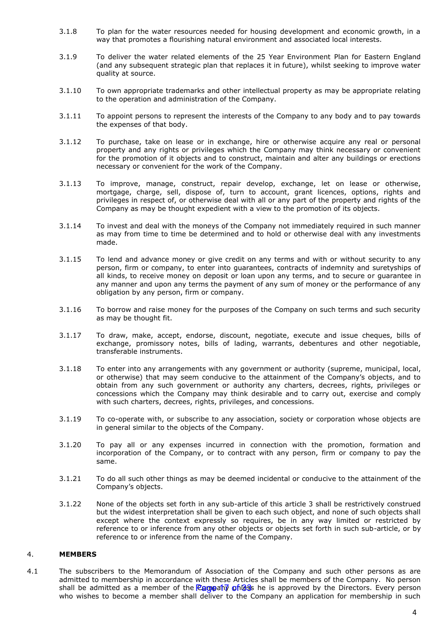- 3.1.8 To plan for the water resources needed for housing development and economic growth, in a way that promotes a flourishing natural environment and associated local interests.
- 3.1.9 To deliver the water related elements of the 25 Year Environment Plan for Eastern England (and any subsequent strategic plan that replaces it in future), whilst seeking to improve water quality at source.
- 3.1.10 To own appropriate trademarks and other intellectual property as may be appropriate relating to the operation and administration of the Company.
- 3.1.11 To appoint persons to represent the interests of the Company to any body and to pay towards the expenses of that body.
- 3.1.12 To purchase, take on lease or in exchange, hire or otherwise acquire any real or personal property and any rights or privileges which the Company may think necessary or convenient for the promotion of it objects and to construct, maintain and alter any buildings or erections necessary or convenient for the work of the Company.
- 3.1.13 To improve, manage, construct, repair develop, exchange, let on lease or otherwise, mortgage, charge, sell, dispose of, turn to account, grant licences, options, rights and privileges in respect of, or otherwise deal with all or any part of the property and rights of the Company as may be thought expedient with a view to the promotion of its objects.
- 3.1.14 To invest and deal with the moneys of the Company not immediately required in such manner as may from time to time be determined and to hold or otherwise deal with any investments made.
- 3.1.15 To lend and advance money or give credit on any terms and with or without security to any person, firm or company, to enter into guarantees, contracts of indemnity and suretyships of all kinds, to receive money on deposit or loan upon any terms, and to secure or guarantee in any manner and upon any terms the payment of any sum of money or the performance of any obligation by any person, firm or company.
- 3.1.16 To borrow and raise money for the purposes of the Company on such terms and such security as may be thought fit.
- 3.1.17 To draw, make, accept, endorse, discount, negotiate, execute and issue cheques, bills of exchange, promissory notes, bills of lading, warrants, debentures and other negotiable, transferable instruments.
- 3.1.18 To enter into any arrangements with any government or authority (supreme, municipal, local, or otherwise) that may seem conducive to the attainment of the Company's objects, and to obtain from any such government or authority any charters, decrees, rights, privileges or concessions which the Company may think desirable and to carry out, exercise and comply with such charters, decrees, rights, privileges, and concessions.
- 3.1.19 To co-operate with, or subscribe to any association, society or corporation whose objects are in general similar to the objects of the Company.
- 3.1.20 To pay all or any expenses incurred in connection with the promotion, formation and incorporation of the Company, or to contract with any person, firm or company to pay the same.
- 3.1.21 To do all such other things as may be deemed incidental or conducive to the attainment of the Company's objects.
- 3.1.22 None of the objects set forth in any sub-article of this article 3 shall be restrictively construed but the widest interpretation shall be given to each such object, and none of such objects shall except where the context expressly so requires, be in any way limited or restricted by reference to or inference from any other objects or objects set forth in such sub-article, or by reference to or inference from the name of the Company.

#### 4. **MEMBERS**

4.1 The subscribers to the Memorandum of Association of the Company and such other persons as are admitted to membership in accordance with these Articles shall be members of the Company. No person shall be admitted as a member of the <mark>Pampany on GS</mark>s he is approved by the Directors. Every person who wishes to become a member shall deliver to the Company an application for membership in such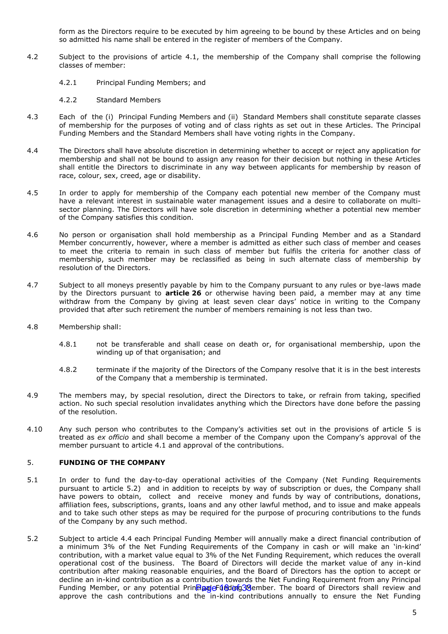form as the Directors require to be executed by him agreeing to be bound by these Articles and on being so admitted his name shall be entered in the register of members of the Company.

- 4.2 Subject to the provisions of article 4.1, the membership of the Company shall comprise the following classes of member:
	- 4.2.1 Principal Funding Members; and
	- 4.2.2 Standard Members
- 4.3 Each of the (i) Principal Funding Members and (ii) Standard Members shall constitute separate classes of membership for the purposes of voting and of class rights as set out in these Articles. The Principal Funding Members and the Standard Members shall have voting rights in the Company.
- 4.4 The Directors shall have absolute discretion in determining whether to accept or reject any application for membership and shall not be bound to assign any reason for their decision but nothing in these Articles shall entitle the Directors to discriminate in any way between applicants for membership by reason of race, colour, sex, creed, age or disability.
- 4.5 In order to apply for membership of the Company each potential new member of the Company must have a relevant interest in sustainable water management issues and a desire to collaborate on multisector planning. The Directors will have sole discretion in determining whether a potential new member of the Company satisfies this condition.
- 4.6 No person or organisation shall hold membership as a Principal Funding Member and as a Standard Member concurrently, however, where a member is admitted as either such class of member and ceases to meet the criteria to remain in such class of member but fulfils the criteria for another class of membership, such member may be reclassified as being in such alternate class of membership by resolution of the Directors.
- 4.7 Subject to all moneys presently payable by him to the Company pursuant to any rules or bye-laws made by the Directors pursuant to **article [26](#page-26-0)** or otherwise having been paid, a member may at any time withdraw from the Company by giving at least seven clear days' notice in writing to the Company provided that after such retirement the number of members remaining is not less than two.
- 4.8 Membership shall:
	- 4.8.1 not be transferable and shall cease on death or, for organisational membership, upon the winding up of that organisation; and
	- 4.8.2 terminate if the majority of the Directors of the Company resolve that it is in the best interests of the Company that a membership is terminated.
- 4.9 The members may, by special resolution, direct the Directors to take, or refrain from taking, specified action. No such special resolution invalidates anything which the Directors have done before the passing of the resolution.
- 4.10 Any such person who contributes to the Company's activities set out in the provisions of article 5 is treated as *ex officio* and shall become a member of the Company upon the Company's approval of the member pursuant to article 4.1 and approval of the contributions.

#### 5. **FUNDING OF THE COMPANY**

- 5.1 In order to fund the day-to-day operational activities of the Company (Net Funding Requirements pursuant to article 5.2) and in addition to receipts by way of subscription or dues, the Company shall have powers to obtain, collect and receive money and funds by way of contributions, donations, affiliation fees, subscriptions, grants, loans and any other lawful method, and to issue and make appeals and to take such other steps as may be required for the purpose of procuring contributions to the funds of the Company by any such method.
- 5.2 Subject to article 4.4 each Principal Funding Member will annually make a direct financial contribution of a minimum 3% of the Net Funding Requirements of the Company in cash or will make an 'in-kind' contribution, with a market value equal to 3% of the Net Funding Requirement, which reduces the overall operational cost of the business. The Board of Directors will decide the market value of any in-kind contribution after making reasonable enquiries, and the Board of Directors has the option to accept or decline an in-kind contribution as a contribution towards the Net Funding Requirement from any Principal Funding Member, or any potential Prin**Plaaje Id&dong 30**ember. The board of Directors shall review and approve the cash contributions and the in-kind contributions annually to ensure the Net Funding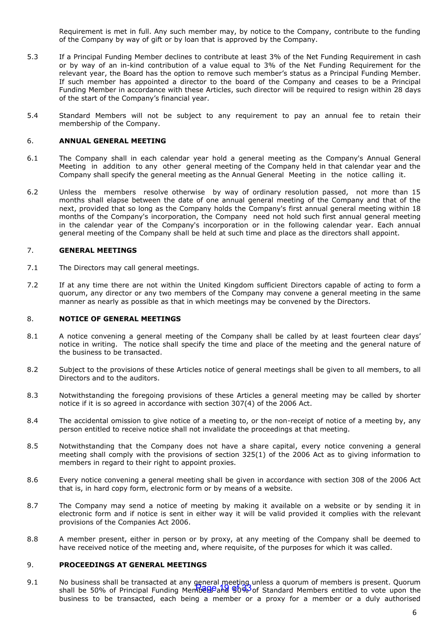Requirement is met in full. Any such member may, by notice to the Company, contribute to the funding of the Company by way of gift or by loan that is approved by the Company.

- 5.3 If a Principal Funding Member declines to contribute at least 3% of the Net Funding Requirement in cash or by way of an in-kind contribution of a value equal to 3% of the Net Funding Requirement for the relevant year, the Board has the option to remove such member's status as a Principal Funding Member. If such member has appointed a director to the board of the Company and ceases to be a Principal Funding Member in accordance with these Articles, such director will be required to resign within 28 days of the start of the Company's financial year.
- 5.4 Standard Members will not be subject to any requirement to pay an annual fee to retain their membership of the Company.

#### 6. **ANNUAL GENERAL MEETING**

- 6.1 The Company shall in each calendar year hold a general meeting as the Company's Annual General Meeting in addition to any other general meeting of the Company held in that calendar year and the Company shall specify the general meeting as the Annual General Meeting in the notice calling it.
- 6.2 Unless the members resolve otherwise by way of ordinary resolution passed, not more than 15 months shall elapse between the date of one annual general meeting of the Company and that of the next, provided that so long as the Company holds the Company's first annual general meeting within 18 months of the Company's incorporation, the Company need not hold such first annual general meeting in the calendar year of the Company's incorporation or in the following calendar year. Each annual general meeting of the Company shall be held at such time and place as the directors shall appoint.

#### 7. **GENERAL MEETINGS**

- 7.1 The Directors may call general meetings.
- 7.2 If at any time there are not within the United Kingdom sufficient Directors capable of acting to form a quorum, any director or any two members of the Company may convene a general meeting in the same manner as nearly as possible as that in which meetings may be convened by the Directors.

#### 8. **NOTICE OF GENERAL MEETINGS**

- 8.1 A notice convening a general meeting of the Company shall be called by at least fourteen clear days' notice in writing. The notice shall specify the time and place of the meeting and the general nature of the business to be transacted.
- 8.2 Subject to the provisions of these Articles notice of general meetings shall be given to all members, to all Directors and to the auditors.
- 8.3 Notwithstanding the foregoing provisions of these Articles a general meeting may be called by shorter notice if it is so agreed in accordance with section 307(4) of the 2006 Act.
- 8.4 The accidental omission to give notice of a meeting to, or the non-receipt of notice of a meeting by, any person entitled to receive notice shall not invalidate the proceedings at that meeting.
- 8.5 Notwithstanding that the Company does not have a share capital, every notice convening a general meeting shall comply with the provisions of section 325(1) of the 2006 Act as to giving information to members in regard to their right to appoint proxies.
- 8.6 Every notice convening a general meeting shall be given in accordance with section 308 of the 2006 Act that is, in hard copy form, electronic form or by means of a website.
- 8.7 The Company may send a notice of meeting by making it available on a website or by sending it in electronic form and if notice is sent in either way it will be valid provided it complies with the relevant provisions of the Companies Act 2006.
- 8.8 A member present, either in person or by proxy, at any meeting of the Company shall be deemed to have received notice of the meeting and, where requisite, of the purposes for which it was called.

#### 9. **PROCEEDINGS AT GENERAL MEETINGS**

9.1 No business shall be transacted at any general meeting unless a quorum of members is present. Quorum shall be 50% of Principal Funding Members and 50% of Standard Members entitled to vote upon the business to be transacted, each being a member or a proxy for a member or a duly authorised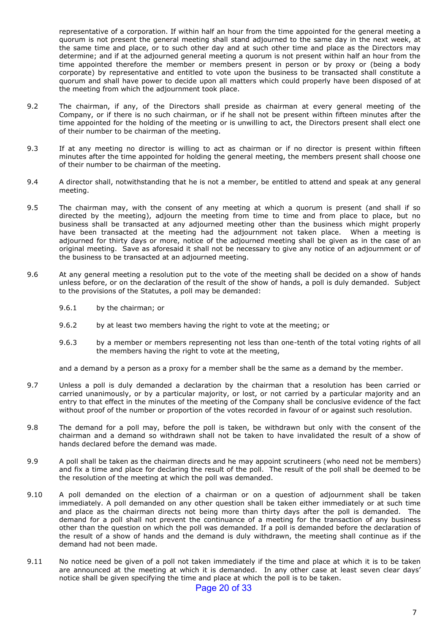representative of a corporation. If within half an hour from the time appointed for the general meeting a quorum is not present the general meeting shall stand adjourned to the same day in the next week, at the same time and place, or to such other day and at such other time and place as the Directors may determine; and if at the adjourned general meeting a quorum is not present within half an hour from the time appointed therefore the member or members present in person or by proxy or (being a body corporate) by representative and entitled to vote upon the business to be transacted shall constitute a quorum and shall have power to decide upon all matters which could properly have been disposed of at the meeting from which the adjournment took place.

- 9.2 The chairman, if any, of the Directors shall preside as chairman at every general meeting of the Company, or if there is no such chairman, or if he shall not be present within fifteen minutes after the time appointed for the holding of the meeting or is unwilling to act, the Directors present shall elect one of their number to be chairman of the meeting.
- 9.3 If at any meeting no director is willing to act as chairman or if no director is present within fifteen minutes after the time appointed for holding the general meeting, the members present shall choose one of their number to be chairman of the meeting.
- 9.4 A director shall, notwithstanding that he is not a member, be entitled to attend and speak at any general meeting.
- 9.5 The chairman may, with the consent of any meeting at which a quorum is present (and shall if so directed by the meeting), adjourn the meeting from time to time and from place to place, but no business shall be transacted at any adjourned meeting other than the business which might properly have been transacted at the meeting had the adjournment not taken place. When a meeting is adjourned for thirty days or more, notice of the adjourned meeting shall be given as in the case of an original meeting. Save as aforesaid it shall not be necessary to give any notice of an adjournment or of the business to be transacted at an adjourned meeting.
- 9.6 At any general meeting a resolution put to the vote of the meeting shall be decided on a show of hands unless before, or on the declaration of the result of the show of hands, a poll is duly demanded. Subject to the provisions of the Statutes, a poll may be demanded:
	- 9.6.1 by the chairman; or
	- 9.6.2 by at least two members having the right to vote at the meeting; or
	- 9.6.3 by a member or members representing not less than one-tenth of the total voting rights of all the members having the right to vote at the meeting,

and a demand by a person as a proxy for a member shall be the same as a demand by the member.

- 9.7 Unless a poll is duly demanded a declaration by the chairman that a resolution has been carried or carried unanimously, or by a particular majority, or lost, or not carried by a particular majority and an entry to that effect in the minutes of the meeting of the Company shall be conclusive evidence of the fact without proof of the number or proportion of the votes recorded in favour of or against such resolution.
- 9.8 The demand for a poll may, before the poll is taken, be withdrawn but only with the consent of the chairman and a demand so withdrawn shall not be taken to have invalidated the result of a show of hands declared before the demand was made.
- 9.9 A poll shall be taken as the chairman directs and he may appoint scrutineers (who need not be members) and fix a time and place for declaring the result of the poll. The result of the poll shall be deemed to be the resolution of the meeting at which the poll was demanded.
- 9.10 A poll demanded on the election of a chairman or on a question of adjournment shall be taken immediately. A poll demanded on any other question shall be taken either immediately or at such time and place as the chairman directs not being more than thirty days after the poll is demanded. The demand for a poll shall not prevent the continuance of a meeting for the transaction of any business other than the question on which the poll was demanded. If a poll is demanded before the declaration of the result of a show of hands and the demand is duly withdrawn, the meeting shall continue as if the demand had not been made.
- 9.11 No notice need be given of a poll not taken immediately if the time and place at which it is to be taken are announced at the meeting at which it is demanded. In any other case at least seven clear days' notice shall be given specifying the time and place at which the poll is to be taken.

#### Page 20 of 33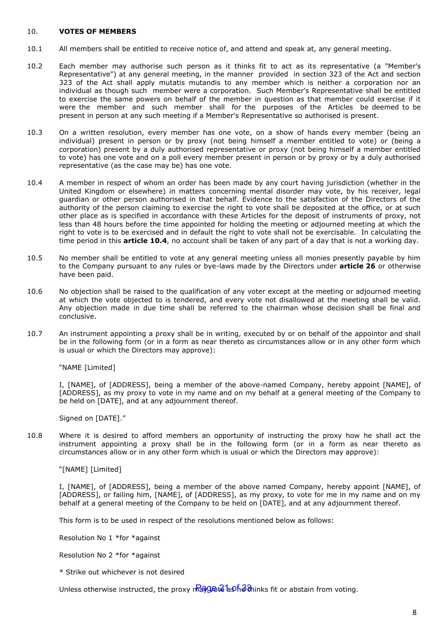#### 10. **VOTES OF MEMBERS**

- 10.1 All members shall be entitled to receive notice of, and attend and speak at, any general meeting.
- 10.2 Each member may authorise such person as it thinks fit to act as its representative (a "Member's Representative") at any general meeting, in the manner provided in section 323 of the Act and section 323 of the Act shall apply mutatis mutandis to any member which is neither a corporation nor an individual as though such member were a corporation. Such Member's Representative shall be entitled to exercise the same powers on behalf of the member in question as that member could exercise if it were the member and such member shall for the purposes of the Articles be deemed to be present in person at any such meeting if a Member's Representative so authorised is present.
- 10.3 On a written resolution, every member has one vote, on a show of hands every member (being an individual) present in person or by proxy (not being himself a member entitled to vote) or (being a corporation) present by a duly authorised representative or proxy (not being himself a member entitled to vote) has one vote and on a poll every member present in person or by proxy or by a duly authorised representative (as the case may be) has one vote.
- <span id="page-20-0"></span>10.4 A member in respect of whom an order has been made by any court having jurisdiction (whether in the United Kingdom or elsewhere) in matters concerning mental disorder may vote, by his receiver, legal guardian or other person authorised in that behalf. Evidence to the satisfaction of the Directors of the authority of the person claiming to exercise the right to vote shall be deposited at the office, or at such other place as is specified in accordance with these Articles for the deposit of instruments of proxy, not less than 48 hours before the time appointed for holding the meeting or adjourned meeting at which the right to vote is to be exercised and in default the right to vote shall not be exercisable. In calculating the time period in this **article [10.4](#page-20-0)**, no account shall be taken of any part of a day that is not a working day.
- 10.5 No member shall be entitled to vote at any general meeting unless all monies presently payable by him to the Company pursuant to any rules or bye-laws made by the Directors under **article [26](#page-26-0)** or otherwise have been paid.
- 10.6 No objection shall be raised to the qualification of any voter except at the meeting or adjourned meeting at which the vote objected to is tendered, and every vote not disallowed at the meeting shall be valid. Any objection made in due time shall be referred to the chairman whose decision shall be final and conclusive.
- 10.7 An instrument appointing a proxy shall be in writing, executed by or on behalf of the appointor and shall be in the following form (or in a form as near thereto as circumstances allow or in any other form which is usual or which the Directors may approve):

"NAME [Limited]

I, [NAME], of [ADDRESS], being a member of the above-named Company, hereby appoint [NAME], of [ADDRESS], as my proxy to vote in my name and on my behalf at a general meeting of the Company to be held on [DATE], and at any adjournment thereof.

Signed on [DATE]."

10.8 Where it is desired to afford members an opportunity of instructing the proxy how he shall act the instrument appointing a proxy shall be in the following form (or in a form as near thereto as circumstances allow or in any other form which is usual or which the Directors may approve):

"[NAME] [Limited]

I, [NAME], of [ADDRESS], being a member of the above named Company, hereby appoint [NAME], of [ADDRESS], or failing him, [NAME], of [ADDRESS], as my proxy, to vote for me in my name and on my behalf at a general meeting of the Company to be held on [DATE], and at any adjournment thereof.

This form is to be used in respect of the resolutions mentioned below as follows:

Resolution No 1 \*for \*against

Resolution No 2 \*for \*against

\* Strike out whichever is not desired

Unless otherwise instructed, the proxy may be a ship thinks fit or abstain from voting.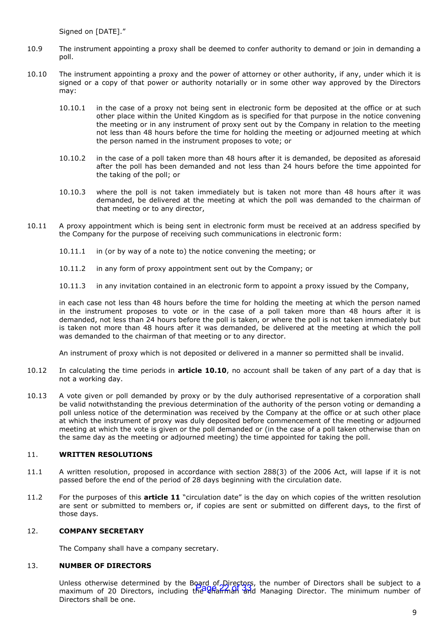Signed on [DATE]."

- 10.9 The instrument appointing a proxy shall be deemed to confer authority to demand or join in demanding a noll
- <span id="page-21-0"></span>10.10 The instrument appointing a proxy and the power of attorney or other authority, if any, under which it is signed or a copy of that power or authority notarially or in some other way approved by the Directors may:
	- 10.10.1 in the case of a proxy not being sent in electronic form be deposited at the office or at such other place within the United Kingdom as is specified for that purpose in the notice convening the meeting or in any instrument of proxy sent out by the Company in relation to the meeting not less than 48 hours before the time for holding the meeting or adjourned meeting at which the person named in the instrument proposes to vote; or
	- 10.10.2 in the case of a poll taken more than 48 hours after it is demanded, be deposited as aforesaid after the poll has been demanded and not less than 24 hours before the time appointed for the taking of the poll; or
	- 10.10.3 where the poll is not taken immediately but is taken not more than 48 hours after it was demanded, be delivered at the meeting at which the poll was demanded to the chairman of that meeting or to any director,
- 10.11 A proxy appointment which is being sent in electronic form must be received at an address specified by the Company for the purpose of receiving such communications in electronic form:
	- 10.11.1 in (or by way of a note to) the notice convening the meeting; or
	- 10.11.2 in any form of proxy appointment sent out by the Company; or
	- 10.11.3 in any invitation contained in an electronic form to appoint a proxy issued by the Company,

in each case not less than 48 hours before the time for holding the meeting at which the person named in the instrument proposes to vote or in the case of a poll taken more than 48 hours after it is demanded, not less than 24 hours before the poll is taken, or where the poll is not taken immediately but is taken not more than 48 hours after it was demanded, be delivered at the meeting at which the poll was demanded to the chairman of that meeting or to any director.

An instrument of proxy which is not deposited or delivered in a manner so permitted shall be invalid.

- 10.12 In calculating the time periods in **article [10.10](#page-21-0)**, no account shall be taken of any part of a day that is not a working day.
- 10.13 A vote given or poll demanded by proxy or by the duly authorised representative of a corporation shall be valid notwithstanding the previous determination of the authority of the person voting or demanding a poll unless notice of the determination was received by the Company at the office or at such other place at which the instrument of proxy was duly deposited before commencement of the meeting or adjourned meeting at which the vote is given or the poll demanded or (in the case of a poll taken otherwise than on the same day as the meeting or adjourned meeting) the time appointed for taking the poll.

#### 11. **WRITTEN RESOLUTIONS**

- 11.1 A written resolution, proposed in accordance with section 288(3) of the 2006 Act, will lapse if it is not passed before the end of the period of 28 days beginning with the circulation date.
- 11.2 For the purposes of this **article 11** "circulation date" is the day on which copies of the written resolution are sent or submitted to members or, if copies are sent or submitted on different days, to the first of those days.

#### 12. **COMPANY SECRETARY**

The Company shall have a company secretary.

#### 13. **NUMBER OF DIRECTORS**

Unless otherwise determined by the Board of Directors, the number of Directors shall be subject to a official order which determined by the business of chairman and manneer of Birectors shall be subject to a<br>maximum of 20 Directors, including the Unaminal and Managing Director. The minimum number of Directors shall be one.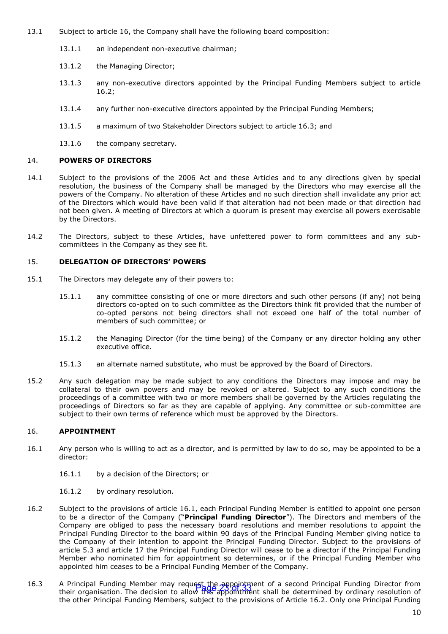- 13.1 Subject to article 16, the Company shall have the following board composition:
	- 13.1.1 an independent non-executive chairman;
	- 13.1.2 the Managing Director;
	- 13.1.3 any non-executive directors appointed by the Principal Funding Members subject to article 16.2;
	- 13.1.4 any further non-executive directors appointed by the Principal Funding Members;
	- 13.1.5 a maximum of two Stakeholder Directors subject to article 16.3; and
	- 13.1.6 the company secretary.

#### 14. **POWERS OF DIRECTORS**

- 14.1 Subject to the provisions of the 2006 Act and these Articles and to any directions given by special resolution, the business of the Company shall be managed by the Directors who may exercise all the powers of the Company. No alteration of these Articles and no such direction shall invalidate any prior act of the Directors which would have been valid if that alteration had not been made or that direction had not been given. A meeting of Directors at which a quorum is present may exercise all powers exercisable by the Directors.
- 14.2 The Directors, subject to these Articles, have unfettered power to form committees and any subcommittees in the Company as they see fit.

#### <span id="page-22-0"></span>15. **DELEGATION OF DIRECTORS' POWERS**

- 15.1 The Directors may delegate any of their powers to:
	- 15.1.1 any committee consisting of one or more directors and such other persons (if any) not being directors co-opted on to such committee as the Directors think fit provided that the number of co-opted persons not being directors shall not exceed one half of the total number of members of such committee; or
	- 15.1.2 the Managing Director (for the time being) of the Company or any director holding any other executive office.
	- 15.1.3 an alternate named substitute, who must be approved by the Board of Directors.
- 15.2 Any such delegation may be made subject to any conditions the Directors may impose and may be collateral to their own powers and may be revoked or altered. Subject to any such conditions the proceedings of a committee with two or more members shall be governed by the Articles regulating the proceedings of Directors so far as they are capable of applying. Any committee or sub-committee are subject to their own terms of reference which must be approved by the Directors.

#### 16. **APPOINTMENT**

- 16.1 Any person who is willing to act as a director, and is permitted by law to do so, may be appointed to be a director:
	- 16.1.1 by a decision of the Directors; or
	- 16.1.2 by ordinary resolution.
- 16.2 Subject to the provisions of article 16.1, each Principal Funding Member is entitled to appoint one person to be a director of the Company ("**Principal Funding Director**"). The Directors and members of the Company are obliged to pass the necessary board resolutions and member resolutions to appoint the Principal Funding Director to the board within 90 days of the Principal Funding Member giving notice to the Company of their intention to appoint the Principal Funding Director. Subject to the provisions of article 5.3 and article 17 the Principal Funding Director will cease to be a director if the Principal Funding Member who nominated him for appointment so determines, or if the Principal Funding Member who appointed him ceases to be a Principal Funding Member of the Company.
- 16.3 A Principal Funding Member may request the appointment of a second Principal Funding Director from A Principal Funding Member may request the *supportsion* or a second Principal Funding Director noming<br>their organisation. The decision to allow this appointment shall be determined by ordinary resolution of the other Principal Funding Members, subject to the provisions of Article 16.2. Only one Principal Funding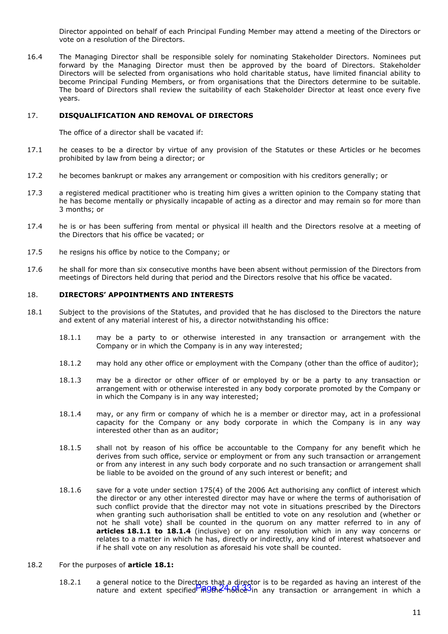Director appointed on behalf of each Principal Funding Member may attend a meeting of the Directors or vote on a resolution of the Directors.

16.4 The Managing Director shall be responsible solely for nominating Stakeholder Directors. Nominees put forward by the Managing Director must then be approved by the board of Directors. Stakeholder Directors will be selected from organisations who hold charitable status, have limited financial ability to become Principal Funding Members, or from organisations that the Directors determine to be suitable. The board of Directors shall review the suitability of each Stakeholder Director at least once every five years.

#### 17. **DISQUALIFICATION AND REMOVAL OF DIRECTORS**

The office of a director shall be vacated if:

- 17.1 he ceases to be a director by virtue of any provision of the Statutes or these Articles or he becomes prohibited by law from being a director; or
- 17.2 he becomes bankrupt or makes any arrangement or composition with his creditors generally; or
- 17.3 a registered medical practitioner who is treating him gives a written opinion to the Company stating that he has become mentally or physically incapable of acting as a director and may remain so for more than 3 months; or
- 17.4 he is or has been suffering from mental or physical ill health and the Directors resolve at a meeting of the Directors that his office be vacated; or
- 17.5 he resigns his office by notice to the Company; or
- 17.6 he shall for more than six consecutive months have been absent without permission of the Directors from meetings of Directors held during that period and the Directors resolve that his office be vacated.

#### 18. **DIRECTORS' APPOINTMENTS AND INTERESTS**

- <span id="page-23-2"></span><span id="page-23-1"></span><span id="page-23-0"></span>18.1 Subject to the provisions of the Statutes, and provided that he has disclosed to the Directors the nature and extent of any material interest of his, a director notwithstanding his office:
	- 18.1.1 may be a party to or otherwise interested in any transaction or arrangement with the Company or in which the Company is in any way interested;
	- 18.1.2 may hold any other office or employment with the Company (other than the office of auditor);
	- 18.1.3 may be a director or other officer of or employed by or be a party to any transaction or arrangement with or otherwise interested in any body corporate promoted by the Company or in which the Company is in any way interested;
	- 18.1.4 may, or any firm or company of which he is a member or director may, act in a professional capacity for the Company or any body corporate in which the Company is in any way interested other than as an auditor;
	- 18.1.5 shall not by reason of his office be accountable to the Company for any benefit which he derives from such office, service or employment or from any such transaction or arrangement or from any interest in any such body corporate and no such transaction or arrangement shall be liable to be avoided on the ground of any such interest or benefit; and
	- 18.1.6 save for a vote under section 175(4) of the 2006 Act authorising any conflict of interest which the director or any other interested director may have or where the terms of authorisation of such conflict provide that the director may not vote in situations prescribed by the Directors when granting such authorisation shall be entitled to vote on any resolution and (whether or not he shall vote) shall be counted in the quorum on any matter referred to in any of **articles [18.1.1](#page-23-0) to [18.1.4](#page-23-1)** (inclusive) or on any resolution which in any way concerns or relates to a matter in which he has, directly or indirectly, any kind of interest whatsoever and if he shall vote on any resolution as aforesaid his vote shall be counted.

#### 18.2 For the purposes of **article [18.1:](#page-23-2)**

18.2.1 a general notice to the Directors that a director is to be regarded as having an interest of the nature and extent specified in the <sup>2</sup>hotice in any transaction or arrangement in which a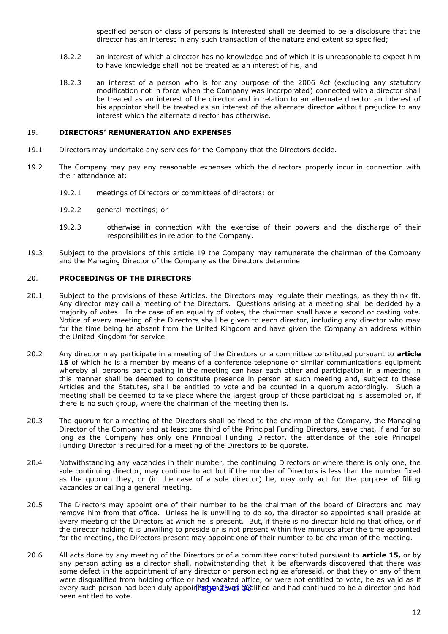specified person or class of persons is interested shall be deemed to be a disclosure that the director has an interest in any such transaction of the nature and extent so specified;

- 18.2.2 an interest of which a director has no knowledge and of which it is unreasonable to expect him to have knowledge shall not be treated as an interest of his; and
- 18.2.3 an interest of a person who is for any purpose of the 2006 Act (excluding any statutory modification not in force when the Company was incorporated) connected with a director shall be treated as an interest of the director and in relation to an alternate director an interest of his appointor shall be treated as an interest of the alternate director without prejudice to any interest which the alternate director has otherwise.

#### 19. **DIRECTORS' REMUNERATION AND EXPENSES**

- 19.1 Directors may undertake any services for the Company that the Directors decide.
- 19.2 The Company may pay any reasonable expenses which the directors properly incur in connection with their attendance at:
	- 19.2.1 meetings of Directors or committees of directors; or
	- 19.2.2 general meetings; or
	- 19.2.3 otherwise in connection with the exercise of their powers and the discharge of their responsibilities in relation to the Company.
- 19.3 Subject to the provisions of this article 19 the Company may remunerate the chairman of the Company and the Managing Director of the Company as the Directors determine.

#### 20. **PROCEEDINGS OF THE DIRECTORS**

- 20.1 Subject to the provisions of these Articles, the Directors may regulate their meetings, as they think fit. Any director may call a meeting of the Directors. Questions arising at a meeting shall be decided by a majority of votes. In the case of an equality of votes, the chairman shall have a second or casting vote. Notice of every meeting of the Directors shall be given to each director, including any director who may for the time being be absent from the United Kingdom and have given the Company an address within the United Kingdom for service.
- 20.2 Any director may participate in a meeting of the Directors or a committee constituted pursuant to **article [15](#page-22-0)** of which he is a member by means of a conference telephone or similar communications equipment whereby all persons participating in the meeting can hear each other and participation in a meeting in this manner shall be deemed to constitute presence in person at such meeting and, subject to these Articles and the Statutes, shall be entitled to vote and be counted in a quorum accordingly. Such a meeting shall be deemed to take place where the largest group of those participating is assembled or, if there is no such group, where the chairman of the meeting then is.
- 20.3 The quorum for a meeting of the Directors shall be fixed to the chairman of the Company, the Managing Director of the Company and at least one third of the Principal Funding Directors, save that, if and for so long as the Company has only one Principal Funding Director, the attendance of the sole Principal Funding Director is required for a meeting of the Directors to be quorate.
- 20.4 Notwithstanding any vacancies in their number, the continuing Directors or where there is only one, the sole continuing director, may continue to act but if the number of Directors is less than the number fixed as the quorum they, or (in the case of a sole director) he, may only act for the purpose of filling vacancies or calling a general meeting.
- 20.5 The Directors may appoint one of their number to be the chairman of the board of Directors and may remove him from that office. Unless he is unwilling to do so, the director so appointed shall preside at every meeting of the Directors at which he is present. But, if there is no director holding that office, or if the director holding it is unwilling to preside or is not present within five minutes after the time appointed for the meeting, the Directors present may appoint one of their number to be chairman of the meeting.
- 20.6 All acts done by any meeting of the Directors or of a committee constituted pursuant to **article [15,](#page-22-0)** or by any person acting as a director shall, notwithstanding that it be afterwards discovered that there was some defect in the appointment of any director or person acting as aforesaid, or that they or any of them were disqualified from holding office or had vacated office, or were not entitled to vote, be as valid as if every such person had been duly appoir<del>Rangane was Gua</del>lified and had continued to be a director and had been entitled to vote.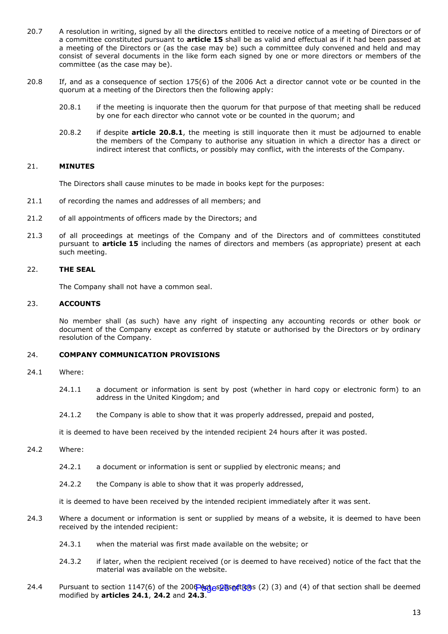- 20.7 A resolution in writing, signed by all the directors entitled to receive notice of a meeting of Directors or of a committee constituted pursuant to **article [15](#page-22-0)** shall be as valid and effectual as if it had been passed at a meeting of the Directors or (as the case may be) such a committee duly convened and held and may consist of several documents in the like form each signed by one or more directors or members of the committee (as the case may be).
- <span id="page-25-0"></span>20.8 If, and as a consequence of section 175(6) of the 2006 Act a director cannot vote or be counted in the quorum at a meeting of the Directors then the following apply:
	- 20.8.1 if the meeting is inquorate then the quorum for that purpose of that meeting shall be reduced by one for each director who cannot vote or be counted in the quorum; and
	- 20.8.2 if despite **article [20.8.1](#page-25-0)**, the meeting is still inquorate then it must be adjourned to enable the members of the Company to authorise any situation in which a director has a direct or indirect interest that conflicts, or possibly may conflict, with the interests of the Company.

#### 21. **MINUTES**

The Directors shall cause minutes to be made in books kept for the purposes:

- 21.1 of recording the names and addresses of all members; and
- 21.2 of all appointments of officers made by the Directors; and
- 21.3 of all proceedings at meetings of the Company and of the Directors and of committees constituted pursuant to **article [15](#page-22-0)** including the names of directors and members (as appropriate) present at each such meeting.

#### 22. **THE SEAL**

The Company shall not have a common seal.

#### 23. **ACCOUNTS**

No member shall (as such) have any right of inspecting any accounting records or other book or document of the Company except as conferred by statute or authorised by the Directors or by ordinary resolution of the Company.

#### 24. **COMPANY COMMUNICATION PROVISIONS**

- <span id="page-25-1"></span>24.1 Where:
	- 24.1.1 a document or information is sent by post (whether in hard copy or electronic form) to an address in the United Kingdom; and
	- 24.1.2 the Company is able to show that it was properly addressed, prepaid and posted,

it is deemed to have been received by the intended recipient 24 hours after it was posted.

- <span id="page-25-2"></span>24.2 Where:
	- 24.2.1 a document or information is sent or supplied by electronic means; and
	- 24.2.2 the Company is able to show that it was properly addressed,

it is deemed to have been received by the intended recipient immediately after it was sent.

- <span id="page-25-3"></span>24.3 Where a document or information is sent or supplied by means of a website, it is deemed to have been received by the intended recipient:
	- 24.3.1 when the material was first made available on the website; or
	- 24.3.2 if later, when the recipient received (or is deemed to have received) notice of the fact that the material was available on the website.
- 24.4 Pursuant to section 1147(6) of the 2000 Adges bections (2) (3) and (4) of that section shall be deemed modified by **articles [24.1](#page-25-1)**, **[24.2](#page-25-2)** and **[24.3](#page-25-3)**.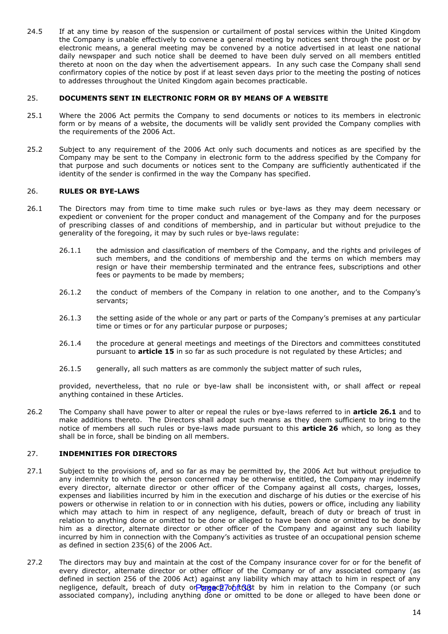24.5 If at any time by reason of the suspension or curtailment of postal services within the United Kingdom the Company is unable effectively to convene a general meeting by notices sent through the post or by electronic means, a general meeting may be convened by a notice advertised in at least one national daily newspaper and such notice shall be deemed to have been duly served on all members entitled thereto at noon on the day when the advertisement appears. In any such case the Company shall send confirmatory copies of the notice by post if at least seven days prior to the meeting the posting of notices to addresses throughout the United Kingdom again becomes practicable.

#### 25. **DOCUMENTS SENT IN ELECTRONIC FORM OR BY MEANS OF A WEBSITE**

- 25.1 Where the 2006 Act permits the Company to send documents or notices to its members in electronic form or by means of a website, the documents will be validly sent provided the Company complies with the requirements of the 2006 Act.
- 25.2 Subject to any requirement of the 2006 Act only such documents and notices as are specified by the Company may be sent to the Company in electronic form to the address specified by the Company for that purpose and such documents or notices sent to the Company are sufficiently authenticated if the identity of the sender is confirmed in the way the Company has specified.

#### <span id="page-26-0"></span>26. **RULES OR BYE-LAWS**

- <span id="page-26-1"></span>26.1 The Directors may from time to time make such rules or bye-laws as they may deem necessary or expedient or convenient for the proper conduct and management of the Company and for the purposes of prescribing classes of and conditions of membership, and in particular but without prejudice to the generality of the foregoing, it may by such rules or bye-laws regulate:
	- 26.1.1 the admission and classification of members of the Company, and the rights and privileges of such members, and the conditions of membership and the terms on which members may resign or have their membership terminated and the entrance fees, subscriptions and other fees or payments to be made by members;
	- 26.1.2 the conduct of members of the Company in relation to one another, and to the Company's servants;
	- 26.1.3 the setting aside of the whole or any part or parts of the Company's premises at any particular time or times or for any particular purpose or purposes;
	- 26.1.4 the procedure at general meetings and meetings of the Directors and committees constituted pursuant to **article [15](#page-22-0)** in so far as such procedure is not regulated by these Articles; and
	- 26.1.5 generally, all such matters as are commonly the subject matter of such rules,

provided, nevertheless, that no rule or bye-law shall be inconsistent with, or shall affect or repeal anything contained in these Articles.

26.2 The Company shall have power to alter or repeal the rules or bye-laws referred to in **article [26.1](#page-26-1)** and to make additions thereto. The Directors shall adopt such means as they deem sufficient to bring to the notice of members all such rules or bye-laws made pursuant to this **article [26](#page-26-0)** which, so long as they shall be in force, shall be binding on all members.

#### 27. **INDEMNITIES FOR DIRECTORS**

- 27.1 Subject to the provisions of, and so far as may be permitted by, the 2006 Act but without prejudice to any indemnity to which the person concerned may be otherwise entitled, the Company may indemnify every director, alternate director or other officer of the Company against all costs, charges, losses, expenses and liabilities incurred by him in the execution and discharge of his duties or the exercise of his powers or otherwise in relation to or in connection with his duties, powers or office, including any liability which may attach to him in respect of any negligence, default, breach of duty or breach of trust in relation to anything done or omitted to be done or alleged to have been done or omitted to be done by him as a director, alternate director or other officer of the Company and against any such liability incurred by him in connection with the Company's activities as trustee of an occupational pension scheme as defined in section 235(6) of the 2006 Act.
- 27.2 The directors may buy and maintain at the cost of the Company insurance cover for or for the benefit of every director, alternate director or other officer of the Company or of any associated company (as defined in section 256 of the 2006 Act) against any liability which may attach to him in respect of any negligence, default, breach of duty or breach of trust by him in relation to the Company (or such associated company), including anything done or omitted to be done or alleged to have been done or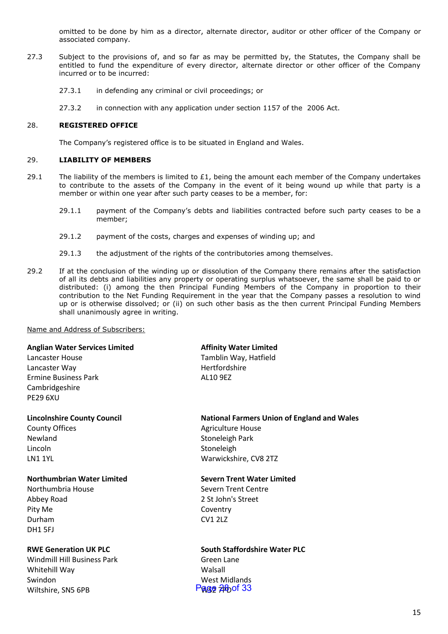omitted to be done by him as a director, alternate director, auditor or other officer of the Company or associated company.

- 27.3 Subject to the provisions of, and so far as may be permitted by, the Statutes, the Company shall be entitled to fund the expenditure of every director, alternate director or other officer of the Company incurred or to be incurred:
	- 27.3.1 in defending any criminal or civil proceedings; or
	- 27.3.2 in connection with any application under section 1157 of the 2006 Act.

#### 28. **REGISTERED OFFICE**

The Company's registered office is to be situated in England and Wales.

#### 29. **LIABILITY OF MEMBERS**

- 29.1 The liability of the members is limited to  $£1$ , being the amount each member of the Company undertakes to contribute to the assets of the Company in the event of it being wound up while that party is a member or within one year after such party ceases to be a member, for:
	- 29.1.1 payment of the Company's debts and liabilities contracted before such party ceases to be a member;
	- 29.1.2 payment of the costs, charges and expenses of winding up; and
	- 29.1.3 the adjustment of the rights of the contributories among themselves.
- 29.2 If at the conclusion of the winding up or dissolution of the Company there remains after the satisfaction of all its debts and liabilities any property or operating surplus whatsoever, the same shall be paid to or distributed: (i) among the then Principal Funding Members of the Company in proportion to their contribution to the Net Funding Requirement in the year that the Company passes a resolution to wind up or is otherwise dissolved; or (ii) on such other basis as the then current Principal Funding Members shall unanimously agree in writing.

Name and Address of Subscribers:

#### **Anglian Water Services Limited**

Lancaster House Lancaster Way Ermine Business Park Cambridgeshire PE29 6XU

#### **Lincolnshire County Council**

County Offices Newland Lincoln LN1 1YL

#### **Northumbrian Water Limited**

Northumbria House Abbey Road Pity Me Durham DH1 5FJ

#### **RWE Generation UK PLC**

Windmill Hill Business Park Whitehill Way Swindon Wiltshire, SN5 6PB

#### **Affinity Water Limited**

Tamblin Way, Hatfield Hertfordshire AL10 9EZ

#### **National Farmers Union of England and Wales**

Agriculture House Stoneleigh Park Stoneleigh Warwickshire, CV8 2TZ

#### **Severn Trent Water Limited**

Severn Trent Centre 2 St John's Street Coventry CV1 2LZ

## **South Staffordshire Water PLC**

Green Lane Walsall West Midlands Page 28 of 33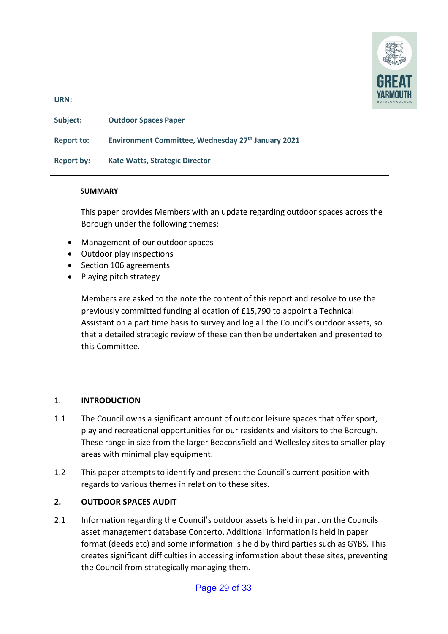

**URN:** 

**Subject: Outdoor Spaces Paper** 

**Report to: Environment Committee, Wednesday 27th January 2021**

**Report by: Kate Watts, Strategic Director** 

#### **SUMMARY**

 This paper provides Members with an update regarding outdoor spaces across the Borough under the following themes:

- Management of our outdoor spaces
- Outdoor play inspections
- Section 106 agreements
- Playing pitch strategy

Members are asked to the note the content of this report and resolve to use the previously committed funding allocation of £15,790 to appoint a Technical Assistant on a part time basis to survey and log all the Council's outdoor assets, so that a detailed strategic review of these can then be undertaken and presented to this Committee.

#### 1. **INTRODUCTION**

- 1.1 The Council owns a significant amount of outdoor leisure spaces that offer sport, play and recreational opportunities for our residents and visitors to the Borough. These range in size from the larger Beaconsfield and Wellesley sites to smaller play areas with minimal play equipment.
- 1.2 This paper attempts to identify and present the Council's current position with regards to various themes in relation to these sites.

#### **2. OUTDOOR SPACES AUDIT**

2.1 Information regarding the Council's outdoor assets is held in part on the Councils asset management database Concerto. Additional information is held in paper format (deeds etc) and some information is held by third parties such as GYBS. This creates significant difficulties in accessing information about these sites, preventing the Council from strategically managing them.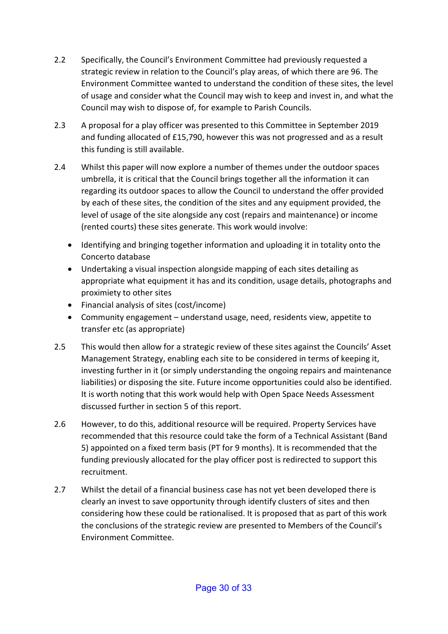- 2.2 Specifically, the Council's Environment Committee had previously requested a strategic review in relation to the Council's play areas, of which there are 96. The Environment Committee wanted to understand the condition of these sites, the level of usage and consider what the Council may wish to keep and invest in, and what the Council may wish to dispose of, for example to Parish Councils.
- 2.3 A proposal for a play officer was presented to this Committee in September 2019 and funding allocated of £15,790, however this was not progressed and as a result this funding is still available.
- 2.4 Whilst this paper will now explore a number of themes under the outdoor spaces umbrella, it is critical that the Council brings together all the information it can regarding its outdoor spaces to allow the Council to understand the offer provided by each of these sites, the condition of the sites and any equipment provided, the level of usage of the site alongside any cost (repairs and maintenance) or income (rented courts) these sites generate. This work would involve:
	- Identifying and bringing together information and uploading it in totality onto the Concerto database
	- Undertaking a visual inspection alongside mapping of each sites detailing as appropriate what equipment it has and its condition, usage details, photographs and proximiety to other sites
	- Financial analysis of sites (cost/income)
	- Community engagement understand usage, need, residents view, appetite to transfer etc (as appropriate)
- 2.5 This would then allow for a strategic review of these sites against the Councils' Asset Management Strategy, enabling each site to be considered in terms of keeping it, investing further in it (or simply understanding the ongoing repairs and maintenance liabilities) or disposing the site. Future income opportunities could also be identified. It is worth noting that this work would help with Open Space Needs Assessment discussed further in section 5 of this report.
- 2.6 However, to do this, additional resource will be required. Property Services have recommended that this resource could take the form of a Technical Assistant (Band 5) appointed on a fixed term basis (PT for 9 months). It is recommended that the funding previously allocated for the play officer post is redirected to support this recruitment.
- 2.7 Whilst the detail of a financial business case has not yet been developed there is clearly an invest to save opportunity through identify clusters of sites and then considering how these could be rationalised. It is proposed that as part of this work the conclusions of the strategic review are presented to Members of the Council's Environment Committee.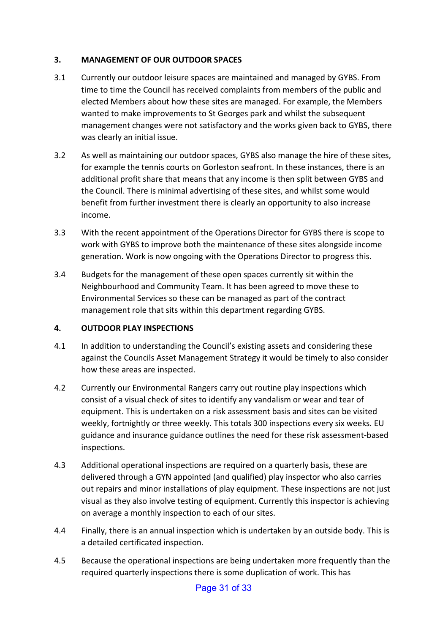## **3. MANAGEMENT OF OUR OUTDOOR SPACES**

- 3.1 Currently our outdoor leisure spaces are maintained and managed by GYBS. From time to time the Council has received complaints from members of the public and elected Members about how these sites are managed. For example, the Members wanted to make improvements to St Georges park and whilst the subsequent management changes were not satisfactory and the works given back to GYBS, there was clearly an initial issue.
- 3.2 As well as maintaining our outdoor spaces, GYBS also manage the hire of these sites, for example the tennis courts on Gorleston seafront. In these instances, there is an additional profit share that means that any income is then split between GYBS and the Council. There is minimal advertising of these sites, and whilst some would benefit from further investment there is clearly an opportunity to also increase income.
- 3.3 With the recent appointment of the Operations Director for GYBS there is scope to work with GYBS to improve both the maintenance of these sites alongside income generation. Work is now ongoing with the Operations Director to progress this.
- 3.4 Budgets for the management of these open spaces currently sit within the Neighbourhood and Community Team. It has been agreed to move these to Environmental Services so these can be managed as part of the contract management role that sits within this department regarding GYBS.

### **4. OUTDOOR PLAY INSPECTIONS**

- 4.1 In addition to understanding the Council's existing assets and considering these against the Councils Asset Management Strategy it would be timely to also consider how these areas are inspected.
- 4.2 Currently our Environmental Rangers carry out routine play inspections which consist of a visual check of sites to identify any vandalism or wear and tear of equipment. This is undertaken on a risk assessment basis and sites can be visited weekly, fortnightly or three weekly. This totals 300 inspections every six weeks. EU guidance and insurance guidance outlines the need for these risk assessment-based inspections.
- 4.3 Additional operational inspections are required on a quarterly basis, these are delivered through a GYN appointed (and qualified) play inspector who also carries out repairs and minor installations of play equipment. These inspections are not just visual as they also involve testing of equipment. Currently this inspector is achieving on average a monthly inspection to each of our sites.
- 4.4 Finally, there is an annual inspection which is undertaken by an outside body. This is a detailed certificated inspection.
- 4.5 Because the operational inspections are being undertaken more frequently than the required quarterly inspections there is some duplication of work. This has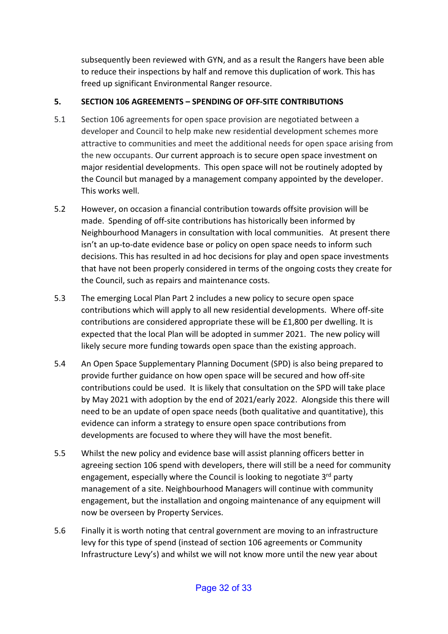subsequently been reviewed with GYN, and as a result the Rangers have been able to reduce their inspections by half and remove this duplication of work. This has freed up significant Environmental Ranger resource.

## **5. SECTION 106 AGREEMENTS – SPENDING OF OFF-SITE CONTRIBUTIONS**

- 5.1 Section 106 agreements for open space provision are negotiated between a developer and Council to help make new residential development schemes more attractive to communities and meet the additional needs for open space arising from the new occupants. Our current approach is to secure open space investment on major residential developments. This open space will not be routinely adopted by the Council but managed by a management company appointed by the developer. This works well.
- 5.2 However, on occasion a financial contribution towards offsite provision will be made. Spending of off-site contributions has historically been informed by Neighbourhood Managers in consultation with local communities. At present there isn't an up-to-date evidence base or policy on open space needs to inform such decisions. This has resulted in ad hoc decisions for play and open space investments that have not been properly considered in terms of the ongoing costs they create for the Council, such as repairs and maintenance costs.
- 5.3 The emerging Local Plan Part 2 includes a new policy to secure open space contributions which will apply to all new residential developments. Where off-site contributions are considered appropriate these will be £1,800 per dwelling. It is expected that the local Plan will be adopted in summer 2021. The new policy will likely secure more funding towards open space than the existing approach.
- 5.4 An Open Space Supplementary Planning Document (SPD) is also being prepared to provide further guidance on how open space will be secured and how off-site contributions could be used. It is likely that consultation on the SPD will take place by May 2021 with adoption by the end of 2021/early 2022. Alongside this there will need to be an update of open space needs (both qualitative and quantitative), this evidence can inform a strategy to ensure open space contributions from developments are focused to where they will have the most benefit.
- 5.5 Whilst the new policy and evidence base will assist planning officers better in agreeing section 106 spend with developers, there will still be a need for community engagement, especially where the Council is looking to negotiate 3<sup>rd</sup> party management of a site. Neighbourhood Managers will continue with community engagement, but the installation and ongoing maintenance of any equipment will now be overseen by Property Services.
- 5.6 Finally it is worth noting that central government are moving to an infrastructure levy for this type of spend (instead of section 106 agreements or Community Infrastructure Levy's) and whilst we will not know more until the new year about